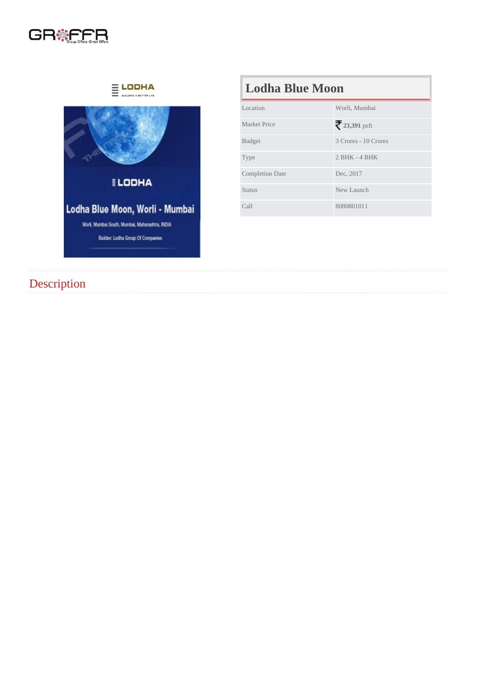# Lodha Blue Moon

| Location               | Worli, Mumbai        |
|------------------------|----------------------|
| <b>Market Price</b>    | 23,391psft           |
| <b>Budget</b>          | 3 Crores - 10 Crores |
| <b>Type</b>            | $2$ BHK - 4 BHK      |
| <b>Completion Date</b> | Dec. 2017            |
| <b>Status</b>          | New Launch           |
| Call                   | 8080801011           |

## **Description**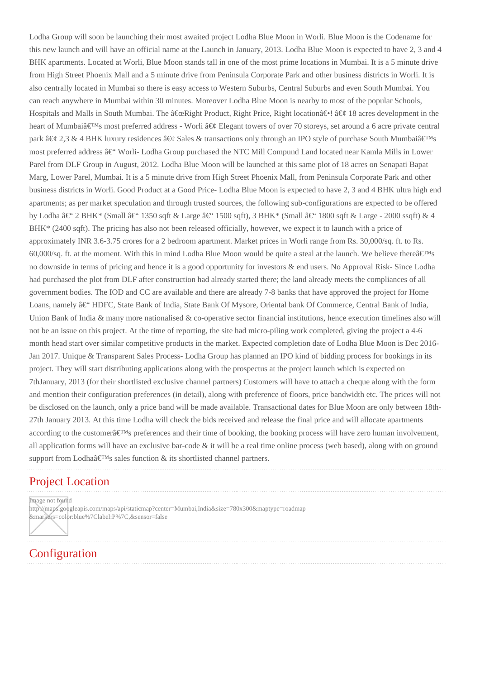Lodha Group will soon be launching their most awaited project Lodha Blue Moon in Worli. Blue Moon is the Codename for this new launch and will have an official name at the Launch in January, 2013. Lodha Blue Moon is expected to have 2, 3 and 4 BHK apartments. Located at Worli, Blue Moon stands tall in one of the most prime locations in Mumbai. It is a 5 minute drive from High Street Phoenix Mall and a 5 minute drive from Peninsula Corporate Park and other business districts in Worli. It is also centrally located in Mumbai so there is easy access to Western Suburbs, Central Suburbs and even South Mumbai. You can reach anywhere in Mumbai within 30 minutes. Moreover Lodha Blue Moon is nearby to most of the popular Schools, Hospitals and Malls in South Mumbai. The  $\hat{\alpha} \in \alpha$ Right Product, Right Price, Right location $\hat{\alpha} \in \alpha$  18 acres development in the heart of Mumbai $\hat{\mathbf{a}} \in \mathbb{M}$ s most preferred address - Worli  $\hat{\mathbf{a}} \in \mathcal{C}$  Elegant towers of over 70 storeys, set around a 6 acre private central park  $\hat{a} \in \mathcal{C}$  2,3 & 4 BHK luxury residences  $\hat{a} \in \mathcal{C}$  Sales & transactions only through an IPO style of purchase South Mumbai $\hat{a} \in \mathbb{M}$ s most preferred address  $\hat{a} \in \hat{C}$  Worli-Lodha Group purchased the NTC Mill Compund Land located near Kamla Mills in Lower Parel from DLF Group in August, 2012. Lodha Blue Moon will be launched at this same plot of 18 acres on Senapati Bapat Marg, Lower Parel, Mumbai. It is a 5 minute drive from High Street Phoenix Mall, from Peninsula Corporate Park and other business districts in Worli. Good Product at a Good Price- Lodha Blue Moon is expected to have 2, 3 and 4 BHK ultra high end apartments; as per market speculation and through trusted sources, the following sub-configurations are expected to be offered by Lodha â $\epsilon$ " 2 BHK\* (Small â $\epsilon$ " 1350 sqft & Large â $\epsilon$ " 1500 sqft), 3 BHK\* (Small â $\epsilon$ " 1800 sqft & Large - 2000 ssqft) & 4 BHK\* (2400 sqft). The pricing has also not been released officially, however, we expect it to launch with a price of approximately INR 3.6-3.75 crores for a 2 bedroom apartment. Market prices in Worli range from Rs. 30,000/sq. ft. to Rs. 60,000/sq. ft. at the moment. With this in mind Lodha Blue Moon would be quite a steal at the launch. We believe there $\hat{\mathbf{a}} \in \mathbb{N}$ s no downside in terms of pricing and hence it is a good opportunity for investors & end users. No Approval Risk- Since Lodha had purchased the plot from DLF after construction had already started there; the land already meets the compliances of all government bodies. The IOD and CC are available and there are already 7-8 banks that have approved the project for Home Loans, namely – HDFC, State Bank of India, State Bank Of Mysore, Oriental bank Of Commerce, Central Bank of India, Union Bank of India & many more nationalised & co-operative sector financial institutions, hence execution timelines also will not be an issue on this project. At the time of reporting, the site had micro-piling work completed, giving the project a 4-6 month head start over similar competitive products in the market. Expected completion date of Lodha Blue Moon is Dec 2016- Jan 2017. Unique & Transparent Sales Process- Lodha Group has planned an IPO kind of bidding process for bookings in its project. They will start distributing applications along with the prospectus at the project launch which is expected on 7thJanuary, 2013 (for their shortlisted exclusive channel partners) Customers will have to attach a cheque along with the form and mention their configuration preferences (in detail), along with preference of floors, price bandwidth etc. The prices will not be disclosed on the launch, only a price band will be made available. Transactional dates for Blue Moon are only between 18th-27th January 2013. At this time Lodha will check the bids received and release the final price and will allocate apartments according to the customer $\hat{a} \in T^M$ s preferences and their time of booking, the booking process will have zero human involvement, all application forms will have an exclusive bar-code  $\&$  it will be a real time online process (web based), along with on ground support from Lodha $\hat{a} \in T^{M_S}$  sales function  $\&$  its shortlisted channel partners.

#### Project Location

Image not found http://maps.googleapis.com/maps/api/staticmap?center=Mumbai,India&size=780x300&maptype=roadmap &markers=color:blue%7Clabel:P%7C,&sensor=false

#### **Configuration**